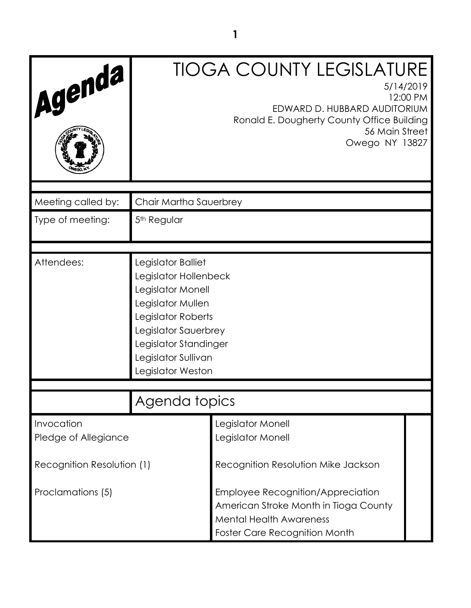| Agenda                                          |                                                                                                                                                                                                          | <b>TIOGA COUNTY LEGISLATURE</b><br>5/14/2019<br>12:00 PM<br>EDWARD D. HUBBARD AUDITORIUM<br>Ronald E. Dougherty County Office Building<br>56 Main Street<br>Owego NY 13827                  |
|-------------------------------------------------|----------------------------------------------------------------------------------------------------------------------------------------------------------------------------------------------------------|---------------------------------------------------------------------------------------------------------------------------------------------------------------------------------------------|
| Meeting called by:                              | Chair Martha Sauerbrey                                                                                                                                                                                   |                                                                                                                                                                                             |
| Type of meeting:                                | 5 <sup>th</sup> Regular                                                                                                                                                                                  |                                                                                                                                                                                             |
| Attendees:                                      | Legislator Balliet<br>Legislator Hollenbeck<br>Legislator Monell<br>Legislator Mullen<br>Legislator Roberts<br>Legislator Sauerbrey<br>Legislator Standinger<br>Legislator Sullivan<br>Legislator Weston |                                                                                                                                                                                             |
|                                                 | Agenda topics                                                                                                                                                                                            |                                                                                                                                                                                             |
| Invocation<br>Pledge of Allegiance              |                                                                                                                                                                                                          | Legislator Monell<br>Legislator Monell                                                                                                                                                      |
| Recognition Resolution (1)<br>Proclamations (5) |                                                                                                                                                                                                          | Recognition Resolution Mike Jackson<br>Employee Recognition/Appreciation<br>American Stroke Month in Tioga County<br><b>Mental Health Awareness</b><br><b>Foster Care Recognition Month</b> |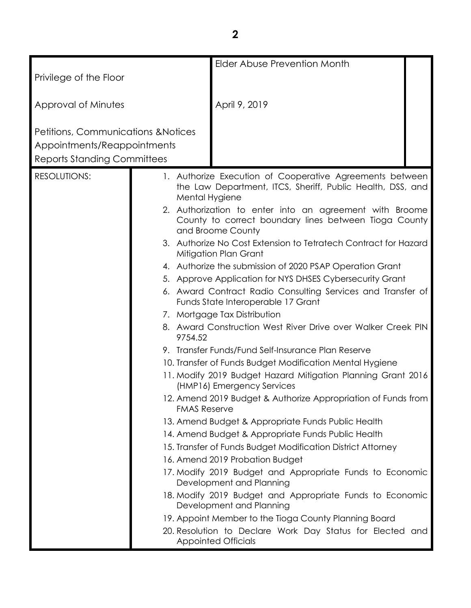|                                                                               |                     | Elder Abuse Prevention Month                                                                                                          |  |
|-------------------------------------------------------------------------------|---------------------|---------------------------------------------------------------------------------------------------------------------------------------|--|
| Privilege of the Floor                                                        |                     |                                                                                                                                       |  |
| Approval of Minutes                                                           |                     | April 9, 2019                                                                                                                         |  |
| <b>Petitions, Communications &amp; Notices</b><br>Appointments/Reappointments |                     |                                                                                                                                       |  |
| <b>Reports Standing Committees</b>                                            |                     |                                                                                                                                       |  |
| <b>RESOLUTIONS:</b>                                                           | Mental Hygiene      | 1. Authorize Execution of Cooperative Agreements between<br>the Law Department, ITCS, Sheriff, Public Health, DSS, and                |  |
|                                                                               |                     | 2. Authorization to enter into an agreement with Broome<br>County to correct boundary lines between Tioga County<br>and Broome County |  |
|                                                                               |                     | 3. Authorize No Cost Extension to Tetratech Contract for Hazard<br>Mitigation Plan Grant                                              |  |
|                                                                               |                     | 4. Authorize the submission of 2020 PSAP Operation Grant                                                                              |  |
|                                                                               |                     | 5. Approve Application for NYS DHSES Cybersecurity Grant                                                                              |  |
|                                                                               |                     | 6. Award Contract Radio Consulting Services and Transfer of<br>Funds State Interoperable 17 Grant                                     |  |
|                                                                               |                     | 7. Mortgage Tax Distribution                                                                                                          |  |
|                                                                               | 9754.52             | 8. Award Construction West River Drive over Walker Creek PIN                                                                          |  |
|                                                                               |                     | 9. Transfer Funds/Fund Self-Insurance Plan Reserve                                                                                    |  |
|                                                                               |                     | 10. Transfer of Funds Budget Modification Mental Hygiene                                                                              |  |
|                                                                               |                     | 11. Modify 2019 Budget Hazard Mitigation Planning Grant 2016<br>(HMP16) Emergency Services                                            |  |
|                                                                               | <b>FMAS Reserve</b> | 12. Amend 2019 Budget & Authorize Appropriation of Funds from                                                                         |  |
|                                                                               |                     | 13. Amend Budget & Appropriate Funds Public Health                                                                                    |  |
|                                                                               |                     | 14. Amend Budget & Appropriate Funds Public Health                                                                                    |  |
|                                                                               |                     | 15. Transfer of Funds Budget Modification District Attorney                                                                           |  |
|                                                                               |                     | 16. Amend 2019 Probation Budget                                                                                                       |  |
|                                                                               |                     | 17. Modify 2019 Budget and Appropriate Funds to Economic<br>Development and Planning                                                  |  |
|                                                                               |                     | 18. Modify 2019 Budget and Appropriate Funds to Economic<br>Development and Planning                                                  |  |
|                                                                               |                     | 19. Appoint Member to the Tioga County Planning Board                                                                                 |  |
|                                                                               |                     | 20. Resolution to Declare Work Day Status for Elected and<br><b>Appointed Officials</b>                                               |  |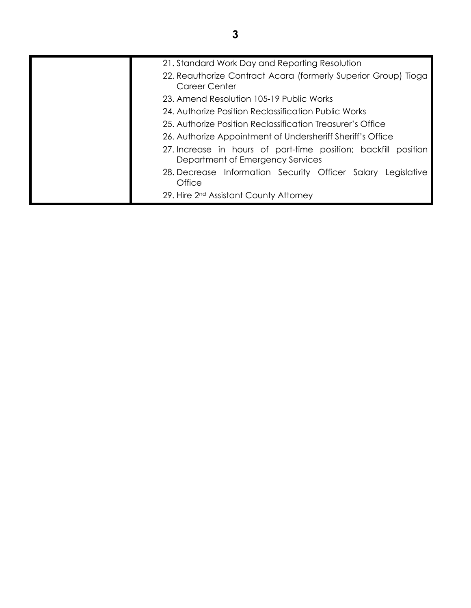| 21. Standard Work Day and Reporting Resolution                                                     |
|----------------------------------------------------------------------------------------------------|
| 22. Reauthorize Contract Acara (formerly Superior Group) Tioga<br>Career Center                    |
| 23. Amend Resolution 105-19 Public Works                                                           |
| 24. Authorize Position Reclassification Public Works                                               |
| 25. Authorize Position Reclassification Treasurer's Office                                         |
| 26. Authorize Appointment of Undersheriff Sheriff's Office                                         |
| 27. Increase in hours of part-time position; backfill position<br>Department of Emergency Services |
| 28. Decrease Information Security Officer Salary Legislative<br>Office                             |
| 29. Hire 2 <sup>nd</sup> Assistant County Attorney                                                 |
|                                                                                                    |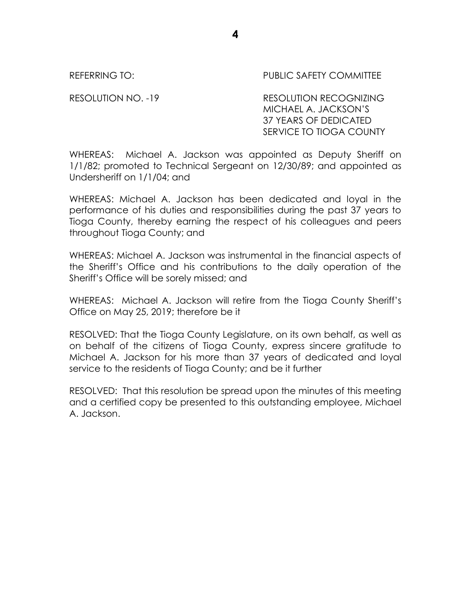REFERRING TO: THE PUBLIC SAFETY COMMITTEE

RESOLUTION NO. -19 RESOLUTION RECOGNIZING MICHAEL A. JACKSON'S 37 YEARS OF DEDICATED SERVICE TO TIOGA COUNTY

WHEREAS: Michael A. Jackson was appointed as Deputy Sheriff on 1/1/82; promoted to Technical Sergeant on 12/30/89; and appointed as Undersheriff on 1/1/04; and

WHEREAS: Michael A. Jackson has been dedicated and loyal in the performance of his duties and responsibilities during the past 37 years to Tioga County, thereby earning the respect of his colleagues and peers throughout Tioga County; and

WHEREAS: Michael A. Jackson was instrumental in the financial aspects of the Sheriff's Office and his contributions to the daily operation of the Sheriff's Office will be sorely missed; and

WHEREAS: Michael A. Jackson will retire from the Tioga County Sheriff's Office on May 25, 2019; therefore be it

RESOLVED: That the Tioga County Legislature, on its own behalf, as well as on behalf of the citizens of Tioga County, express sincere gratitude to Michael A. Jackson for his more than 37 years of dedicated and loyal service to the residents of Tioga County; and be it further

RESOLVED: That this resolution be spread upon the minutes of this meeting and a certified copy be presented to this outstanding employee, Michael A. Jackson.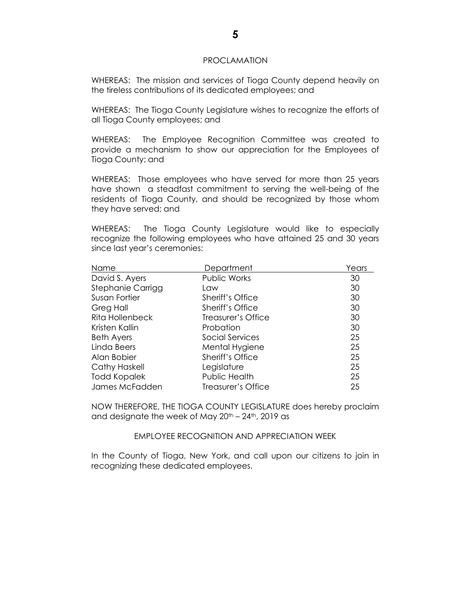#### PROCLAMATION

WHEREAS: The mission and services of Tioga County depend heavily on the tireless contributions of its dedicated employees; and

WHEREAS: The Tioga County Legislature wishes to recognize the efforts of all Tioga County employees; and

WHEREAS: The Employee Recognition Committee was created to provide a mechanism to show our appreciation for the Employees of Tioga County; and

WHEREAS: Those employees who have served for more than 25 years have shown a steadfast commitment to serving the well-being of the residents of Tioga County, and should be recognized by those whom they have served; and

WHEREAS: The Tioga County Legislature would like to especially recognize the following employees who have attained 25 and 30 years since last year's ceremonies:

| Name                   | <b>Department</b>       | Years |
|------------------------|-------------------------|-------|
| David S. Ayers         | <b>Public Works</b>     | 30    |
| Stephanie Carrigg      | Law                     | 30    |
| Susan Fortier          | <b>Sheriff's Office</b> | 30    |
| Greg Hall              | <b>Sheriff's Office</b> | 30    |
| <b>Rita Hollenbeck</b> | Treasurer's Office      | 30    |
| Kristen Kallin         | Probation               | 30    |
| <b>Beth Ayers</b>      | Social Services         | 25    |
| Linda Beers            | Mental Hygiene          | 25    |
| Alan Bobier            | Sheriff's Office        | 25    |
| <b>Cathy Haskell</b>   | Legislature             | 25    |
| <b>Todd Kopalek</b>    | Public Health           | 25    |
| James McFadden         | Treasurer's Office      | 25    |

NOW THEREFORE, THE TIOGA COUNTY LEGISLATURE does hereby proclaim and designate the week of May  $20<sup>th</sup> - 24<sup>th</sup>$ , 2019 as

### EMPLOYEE RECOGNITION AND APPRECIATION WEEK

In the County of Tioga, New York, and call upon our citizens to join in recognizing these dedicated employees.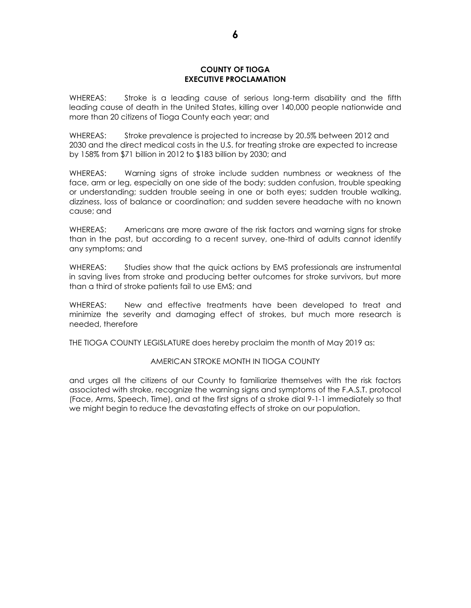### **COUNTY OF TIOGA EXECUTIVE PROCLAMATION**

WHEREAS: Stroke is a leading cause of serious long-term disability and the fifth leading cause of death in the United States, killing over 140,000 people nationwide and more than 20 citizens of Tioga County each year; and

WHEREAS: Stroke prevalence is projected to increase by 20.5% between 2012 and 2030 and the direct medical costs in the U.S. for treating stroke are expected to increase by 158% from \$71 billion in 2012 to \$183 billion by 2030; and

WHEREAS: Warning signs of stroke include sudden numbness or weakness of the face, arm or leg, especially on one side of the body; sudden confusion, trouble speaking or understanding; sudden trouble seeing in one or both eyes; sudden trouble walking, dizziness, loss of balance or coordination; and sudden severe headache with no known cause; and

WHEREAS: Americans are more aware of the risk factors and warning signs for stroke than in the past, but according to a recent survey, one-third of adults cannot identify any symptoms; and

WHEREAS: Studies show that the quick actions by EMS professionals are instrumental in saving lives from stroke and producing better outcomes for stroke survivors, but more than a third of stroke patients fail to use EMS; and

WHEREAS: New and effective treatments have been developed to treat and minimize the severity and damaging effect of strokes, but much more research is needed, therefore

THE TIOGA COUNTY LEGISLATURE does hereby proclaim the month of May 2019 as:

### AMERICAN STROKE MONTH IN TIOGA COUNTY

and urges all the citizens of our County to familiarize themselves with the risk factors associated with stroke, recognize the warning signs and symptoms of the F.A.S.T. protocol (Face, Arms, Speech, Time), and at the first signs of a stroke dial 9-1-1 immediately so that we might begin to reduce the devastating effects of stroke on our population.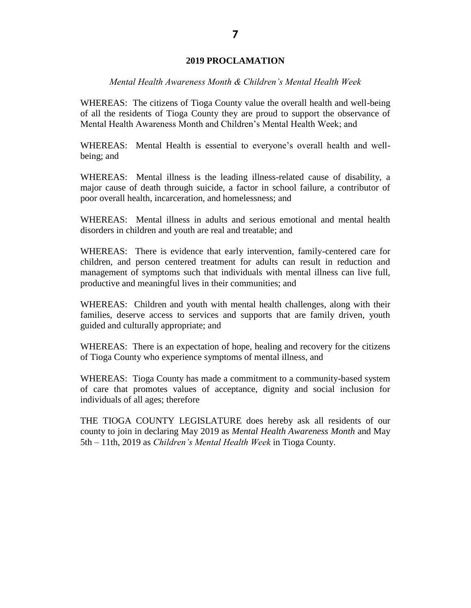### **2019 PROCLAMATION**

### *Mental Health Awareness Month & Children's Mental Health Week*

WHEREAS: The citizens of Tioga County value the overall health and well-being of all the residents of Tioga County they are proud to support the observance of Mental Health Awareness Month and Children's Mental Health Week; and

WHEREAS: Mental Health is essential to everyone's overall health and wellbeing; and

WHEREAS: Mental illness is the leading illness-related cause of disability, a major cause of death through suicide, a factor in school failure, a contributor of poor overall health, incarceration, and homelessness; and

WHEREAS: Mental illness in adults and serious emotional and mental health disorders in children and youth are real and treatable; and

WHEREAS: There is evidence that early intervention, family-centered care for children, and person centered treatment for adults can result in reduction and management of symptoms such that individuals with mental illness can live full, productive and meaningful lives in their communities; and

WHEREAS: Children and youth with mental health challenges, along with their families, deserve access to services and supports that are family driven, youth guided and culturally appropriate; and

WHEREAS: There is an expectation of hope, healing and recovery for the citizens of Tioga County who experience symptoms of mental illness, and

WHEREAS: Tioga County has made a commitment to a community-based system of care that promotes values of acceptance, dignity and social inclusion for individuals of all ages; therefore

THE TIOGA COUNTY LEGISLATURE does hereby ask all residents of our county to join in declaring May 2019 as *Mental Health Awareness Month* and May 5th – 11th, 2019 as *Children's Mental Health Week* in Tioga County.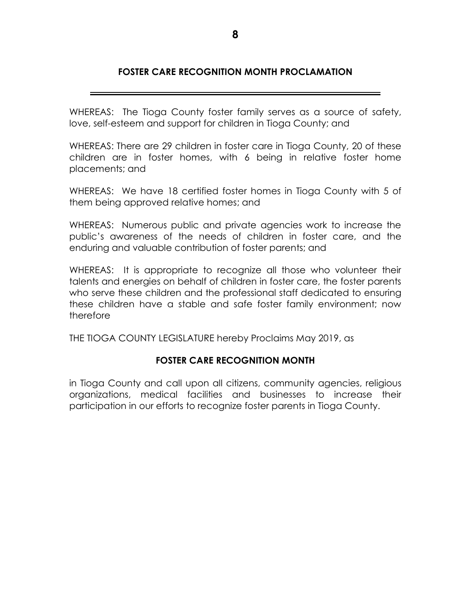# **FOSTER CARE RECOGNITION MONTH PROCLAMATION**

WHEREAS: The Tioga County foster family serves as a source of safety, love, self-esteem and support for children in Tioga County; and

WHEREAS: There are 29 children in foster care in Tioga County, 20 of these children are in foster homes, with 6 being in relative foster home placements; and

WHEREAS: We have 18 certified foster homes in Tioga County with 5 of them being approved relative homes; and

WHEREAS: Numerous public and private agencies work to increase the public's awareness of the needs of children in foster care, and the enduring and valuable contribution of foster parents; and

WHEREAS: It is appropriate to recognize all those who volunteer their talents and energies on behalf of children in foster care, the foster parents who serve these children and the professional staff dedicated to ensuring these children have a stable and safe foster family environment; now therefore

THE TIOGA COUNTY LEGISLATURE hereby Proclaims May 2019, as

# **FOSTER CARE RECOGNITION MONTH**

in Tioga County and call upon all citizens, community agencies, religious organizations, medical facilities and businesses to increase their participation in our efforts to recognize foster parents in Tioga County.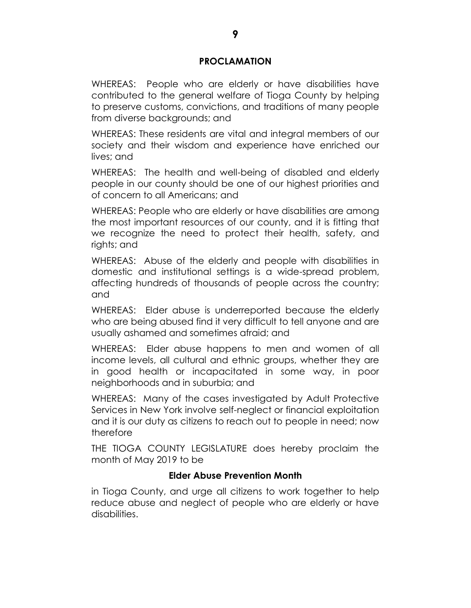# **PROCLAMATION**

WHEREAS: People who are elderly or have disabilities have contributed to the general welfare of Tioga County by helping to preserve customs, convictions, and traditions of many people from diverse backgrounds; and

WHEREAS: These residents are vital and integral members of our society and their wisdom and experience have enriched our lives; and

WHEREAS: The health and well-being of disabled and elderly people in our county should be one of our highest priorities and of concern to all Americans; and

WHEREAS: People who are elderly or have disabilities are among the most important resources of our county, and it is fitting that we recognize the need to protect their health, safety, and rights; and

WHEREAS: Abuse of the elderly and people with disabilities in domestic and institutional settings is a wide-spread problem, affecting hundreds of thousands of people across the country; and

WHEREAS: Elder abuse is underreported because the elderly who are being abused find it very difficult to tell anyone and are usually ashamed and sometimes afraid; and

WHEREAS: Elder abuse happens to men and women of all income levels, all cultural and ethnic groups, whether they are in good health or incapacitated in some way, in poor neighborhoods and in suburbia; and

WHEREAS: Many of the cases investigated by Adult Protective Services in New York involve self-neglect or financial exploitation and it is our duty as citizens to reach out to people in need; now therefore

THE TIOGA COUNTY LEGISLATURE does hereby proclaim the month of May 2019 to be

# **Elder Abuse Prevention Month**

in Tioga County, and urge all citizens to work together to help reduce abuse and neglect of people who are elderly or have disabilities.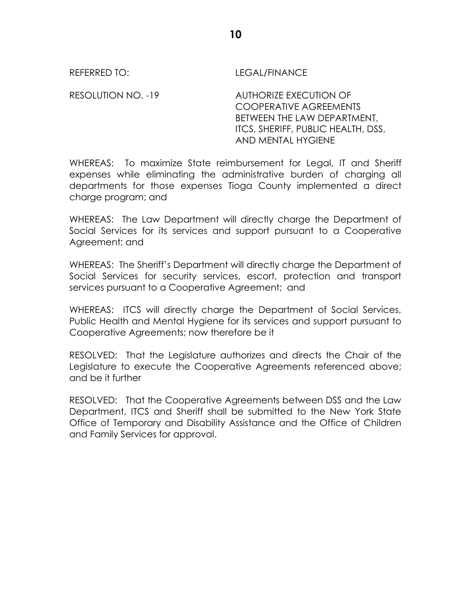REFERRED TO: LEGAL/FINANCE

RESOLUTION NO. -19 AUTHORIZE EXECUTION OF COOPERATIVE AGREEMENTS BETWEEN THE LAW DEPARTMENT, ITCS, SHERIFF, PUBLIC HEALTH, DSS, AND MENTAL HYGIENE

WHEREAS: To maximize State reimbursement for Legal, IT and Sheriff expenses while eliminating the administrative burden of charging all departments for those expenses Tioga County implemented a direct charge program; and

WHEREAS: The Law Department will directly charge the Department of Social Services for its services and support pursuant to a Cooperative Agreement; and

WHEREAS: The Sheriff's Department will directly charge the Department of Social Services for security services, escort, protection and transport services pursuant to a Cooperative Agreement; and

WHEREAS: ITCS will directly charge the Department of Social Services, Public Health and Mental Hygiene for its services and support pursuant to Cooperative Agreements; now therefore be it

RESOLVED: That the Legislature authorizes and directs the Chair of the Legislature to execute the Cooperative Agreements referenced above; and be it further

RESOLVED: That the Cooperative Agreements between DSS and the Law Department, ITCS and Sheriff shall be submitted to the New York State Office of Temporary and Disability Assistance and the Office of Children and Family Services for approval.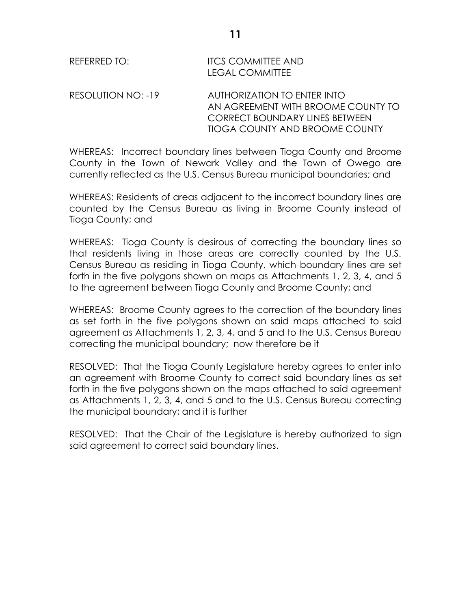| REFERRED TO:       | <b>ITCS COMMITTEE AND</b><br><b>LEGAL COMMITTEE</b>                                                                                                 |
|--------------------|-----------------------------------------------------------------------------------------------------------------------------------------------------|
| RESOLUTION NO: -19 | AUTHORIZATION TO ENTER INTO<br>AN AGREEMENT WITH BROOME COUNTY TO<br><b>CORRECT BOUNDARY LINES BETWEEN</b><br><b>TIOGA COUNTY AND BROOME COUNTY</b> |

WHEREAS: Incorrect boundary lines between Tioga County and Broome County in the Town of Newark Valley and the Town of Owego are currently reflected as the U.S. Census Bureau municipal boundaries; and

WHEREAS: Residents of areas adjacent to the incorrect boundary lines are counted by the Census Bureau as living in Broome County instead of Tioga County; and

WHEREAS: Tioga County is desirous of correcting the boundary lines so that residents living in those areas are correctly counted by the U.S. Census Bureau as residing in Tioga County, which boundary lines are set forth in the five polygons shown on maps as Attachments 1, 2, 3, 4, and 5 to the agreement between Tioga County and Broome County; and

WHEREAS: Broome County agrees to the correction of the boundary lines as set forth in the five polygons shown on said maps attached to said agreement as Attachments 1, 2, 3, 4, and 5 and to the U.S. Census Bureau correcting the municipal boundary; now therefore be it

RESOLVED: That the Tioga County Legislature hereby agrees to enter into an agreement with Broome County to correct said boundary lines as set forth in the five polygons shown on the maps attached to said agreement as Attachments 1, 2, 3, 4, and 5 and to the U.S. Census Bureau correcting the municipal boundary; and it is further

RESOLVED: That the Chair of the Legislature is hereby authorized to sign said agreement to correct said boundary lines.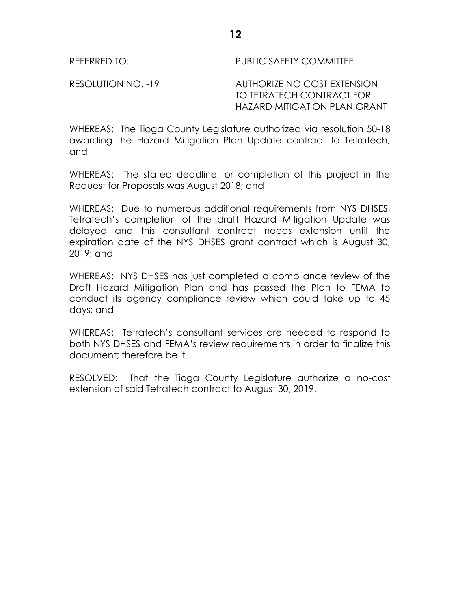REFERRED TO: PUBLIC SAFETY COMMITTEE

RESOLUTION NO. -19 AUTHORIZE NO COST EXTENSION TO TETRATECH CONTRACT FOR HAZARD MITIGATION PLAN GRANT

WHEREAS: The Tioga County Legislature authorized via resolution 50-18 awarding the Hazard Mitigation Plan Update contract to Tetratech; and

WHEREAS: The stated deadline for completion of this project in the Request for Proposals was August 2018; and

WHEREAS: Due to numerous additional requirements from NYS DHSES, Tetratech's completion of the draft Hazard Mitigation Update was delayed and this consultant contract needs extension until the expiration date of the NYS DHSES grant contract which is August 30, 2019; and

WHEREAS: NYS DHSES has just completed a compliance review of the Draft Hazard Mitigation Plan and has passed the Plan to FEMA to conduct its agency compliance review which could take up to 45 days; and

WHEREAS: Tetratech's consultant services are needed to respond to both NYS DHSES and FEMA's review requirements in order to finalize this document; therefore be it

RESOLVED: That the Tioga County Legislature authorize a no-cost extension of said Tetratech contract to August 30, 2019.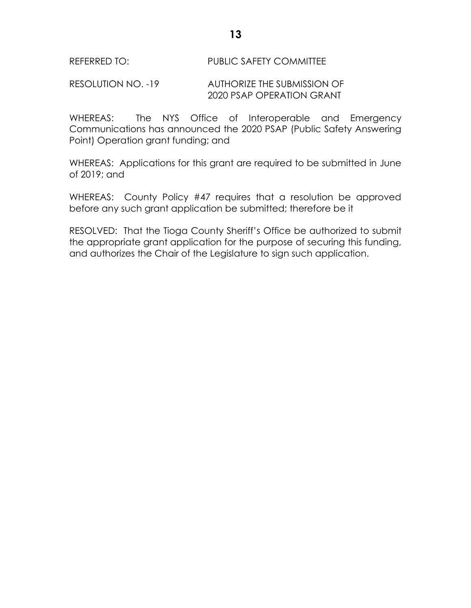# REFERRED TO: PUBLIC SAFETY COMMITTEE

### RESOLUTION NO. -19 AUTHORIZE THE SUBMISSION OF 2020 PSAP OPERATION GRANT

WHEREAS: The NYS Office of Interoperable and Emergency Communications has announced the 2020 PSAP (Public Safety Answering Point) Operation grant funding; and

WHEREAS: Applications for this grant are required to be submitted in June of 2019; and

WHEREAS: County Policy #47 requires that a resolution be approved before any such grant application be submitted; therefore be it

RESOLVED: That the Tioga County Sheriff's Office be authorized to submit the appropriate grant application for the purpose of securing this funding, and authorizes the Chair of the Legislature to sign such application.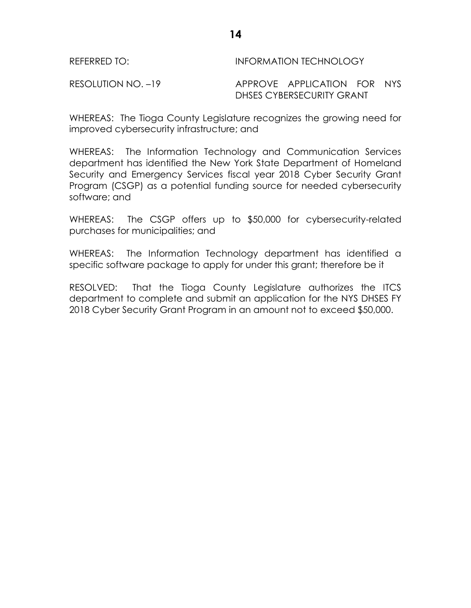| REFERRED TO:       | <b>INFORMATION TECHNOLOGY</b> |
|--------------------|-------------------------------|
| RESOLUTION NO. -19 | APPROVE APPLICATION FOR NYS   |
|                    | DHSES CYBERSECURITY GRANT     |

WHEREAS: The Tioga County Legislature recognizes the growing need for improved cybersecurity infrastructure; and

WHEREAS: The Information Technology and Communication Services department has identified the New York State Department of Homeland Security and Emergency Services fiscal year 2018 Cyber Security Grant Program (CSGP) as a potential funding source for needed cybersecurity software; and

WHEREAS: The CSGP offers up to \$50,000 for cybersecurity-related purchases for municipalities; and

WHEREAS: The Information Technology department has identified a specific software package to apply for under this grant; therefore be it

RESOLVED: That the Tioga County Legislature authorizes the ITCS department to complete and submit an application for the NYS DHSES FY 2018 Cyber Security Grant Program in an amount not to exceed \$50,000.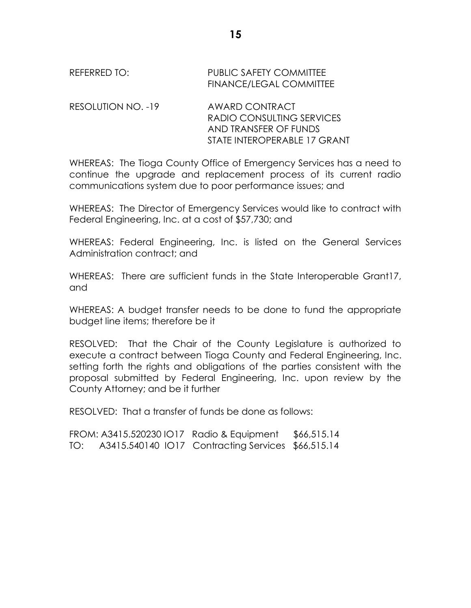| REFERRED TO: | PUBLIC SAFETY COMMITTEE        |
|--------------|--------------------------------|
|              | <b>FINANCE/LEGAL COMMITTEE</b> |
|              |                                |

RESOLUTION NO. -19 AWARD CONTRACT RADIO CONSULTING SERVICES AND TRANSFER OF FUNDS STATE INTEROPERABLE 17 GRANT

WHEREAS: The Tioga County Office of Emergency Services has a need to continue the upgrade and replacement process of its current radio communications system due to poor performance issues; and

WHEREAS: The Director of Emergency Services would like to contract with Federal Engineering, Inc. at a cost of \$57,730; and

WHEREAS: Federal Engineering, Inc. is listed on the General Services Administration contract; and

WHEREAS: There are sufficient funds in the State Interoperable Grant17, and

WHEREAS: A budget transfer needs to be done to fund the appropriate budget line items; therefore be it

RESOLVED: That the Chair of the County Legislature is authorized to execute a contract between Tioga County and Federal Engineering, Inc. setting forth the rights and obligations of the parties consistent with the proposal submitted by Federal Engineering, Inc. upon review by the County Attorney; and be it further

RESOLVED: That a transfer of funds be done as follows:

FROM: A3415.520230 IO17 Radio & Equipment \$66,515.14 TO: A3415.540140 IO17 Contracting Services \$66,515.14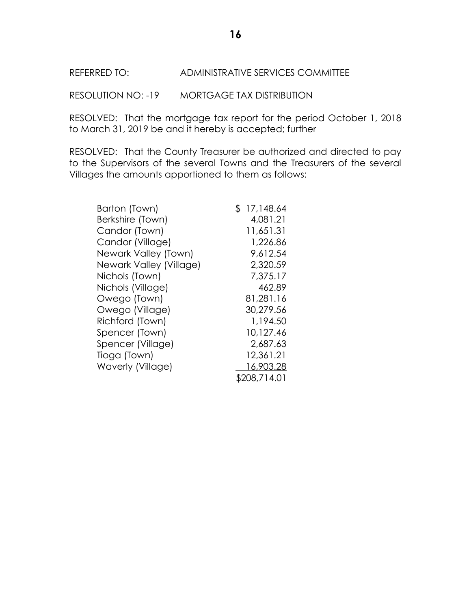## REFERRED TO: ADMINISTRATIVE SERVICES COMMITTEE

RESOLUTION NO: -19 MORTGAGE TAX DISTRIBUTION

RESOLVED: That the mortgage tax report for the period October 1, 2018 to March 31, 2019 be and it hereby is accepted; further

RESOLVED: That the County Treasurer be authorized and directed to pay to the Supervisors of the several Towns and the Treasurers of the several Villages the amounts apportioned to them as follows:

| Barton (Town)           | \$17,148.64  |
|-------------------------|--------------|
| Berkshire (Town)        | 4,081.21     |
| Candor (Town)           | 11,651.31    |
| Candor (Village)        | 1,226.86     |
| Newark Valley (Town)    | 9,612.54     |
| Newark Valley (Village) | 2,320.59     |
| Nichols (Town)          | 7,375.17     |
| Nichols (Village)       | 462.89       |
| Owego (Town)            | 81,281.16    |
| Owego (Village)         | 30,279.56    |
| Richford (Town)         | 1,194.50     |
| Spencer (Town)          | 10,127.46    |
| Spencer (Village)       | 2,687.63     |
| Tioga (Town)            | 12,361.21    |
| Waverly (Village)       | 16,903.28    |
|                         | \$208,714.01 |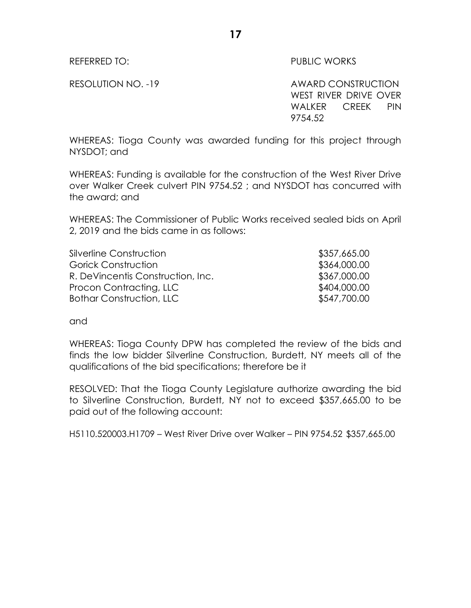### REFERRED TO: The contract of the contract of the public works

RESOLUTION NO. -19 AWARD CONSTRUCTION WEST RIVER DRIVE OVER WALKER CREEK PIN 9754.52

WHEREAS: Tioga County was awarded funding for this project through NYSDOT; and

WHEREAS: Funding is available for the construction of the West River Drive over Walker Creek culvert PIN 9754.52 ; and NYSDOT has concurred with the award; and

WHEREAS: The Commissioner of Public Works received sealed bids on April 2, 2019 and the bids came in as follows:

| Silverline Construction           | \$357,665.00 |
|-----------------------------------|--------------|
| Gorick Construction               | \$364,000.00 |
| R. DeVincentis Construction, Inc. | \$367,000.00 |
| Procon Contracting, LLC           | \$404,000.00 |
| <b>Bothar Construction, LLC</b>   | \$547,700.00 |

and

WHEREAS: Tioga County DPW has completed the review of the bids and finds the low bidder Silverline Construction, Burdett, NY meets all of the qualifications of the bid specifications; therefore be it

RESOLVED: That the Tioga County Legislature authorize awarding the bid to Silverline Construction, Burdett, NY not to exceed \$357,665.00 to be paid out of the following account:

H5110.520003.H1709 – West River Drive over Walker – PIN 9754.52 \$357,665.00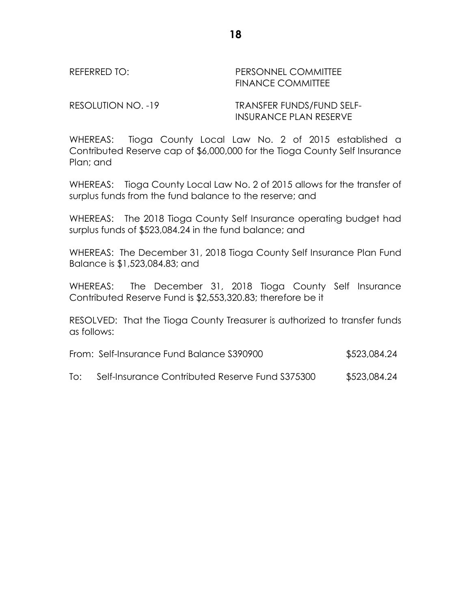REFERRED TO: The PERSONNEL COMMITTEE FINANCE COMMITTEE

RESOLUTION NO. -19 TRANSFER FUNDS/FUND SELF-INSURANCE PLAN RESERVE

WHEREAS: Tioga County Local Law No. 2 of 2015 established a Contributed Reserve cap of \$6,000,000 for the Tioga County Self Insurance Plan; and

WHEREAS: Tioga County Local Law No. 2 of 2015 allows for the transfer of surplus funds from the fund balance to the reserve; and

WHEREAS: The 2018 Tioga County Self Insurance operating budget had surplus funds of \$523,084.24 in the fund balance; and

WHEREAS: The December 31, 2018 Tioga County Self Insurance Plan Fund Balance is \$1,523,084.83; and

WHEREAS: The December 31, 2018 Tioga County Self Insurance Contributed Reserve Fund is \$2,553,320.83; therefore be it

RESOLVED: That the Tioga County Treasurer is authorized to transfer funds as follows:

| From: Self-Insurance Fund Balance S390900 | \$523,084.24 |
|-------------------------------------------|--------------|
|-------------------------------------------|--------------|

| To: | Self-Insurance Contributed Reserve Fund \$375300 | \$523,084.24 |
|-----|--------------------------------------------------|--------------|
|-----|--------------------------------------------------|--------------|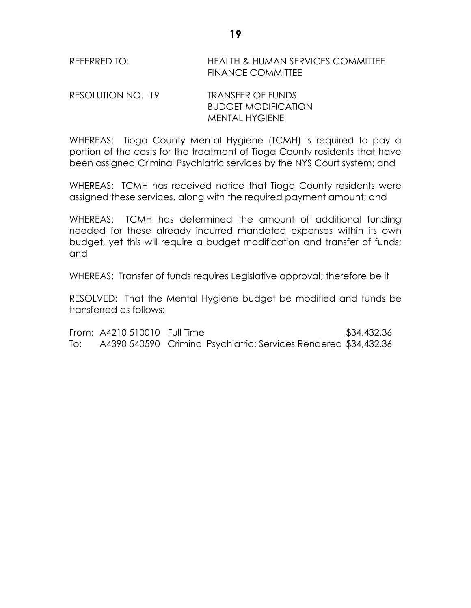REFERRED TO: HEALTH & HUMAN SERVICES COMMITTEE FINANCE COMMITTEE

RESOLUTION NO. -19 TRANSFER OF FUNDS BUDGET MODIFICATION MENTAL HYGIENE

WHEREAS: Tioga County Mental Hygiene (TCMH) is required to pay a portion of the costs for the treatment of Tioga County residents that have been assigned Criminal Psychiatric services by the NYS Court system; and

WHEREAS: TCMH has received notice that Tioga County residents were assigned these services, along with the required payment amount; and

WHEREAS: TCMH has determined the amount of additional funding needed for these already incurred mandated expenses within its own budget, yet this will require a budget modification and transfer of funds; and

WHEREAS: Transfer of funds requires Legislative approval; therefore be it

RESOLVED: That the Mental Hygiene budget be modified and funds be transferred as follows:

From: A4210 510010 Full Time \$34,432.36 To: A4390 540590 Criminal Psychiatric: Services Rendered \$34,432.36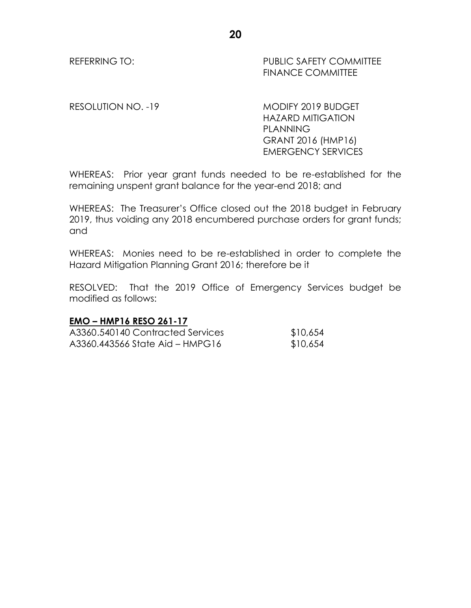REFERRING TO: PUBLIC SAFETY COMMITTEE FINANCE COMMITTEE

RESOLUTION NO. -19 MODIFY 2019 BUDGET HAZARD MITIGATION PLANNING GRANT 2016 (HMP16) EMERGENCY SERVICES

WHEREAS: Prior year grant funds needed to be re-established for the remaining unspent grant balance for the year-end 2018; and

WHEREAS: The Treasurer's Office closed out the 2018 budget in February 2019, thus voiding any 2018 encumbered purchase orders for grant funds; and

WHEREAS: Monies need to be re-established in order to complete the Hazard Mitigation Planning Grant 2016; therefore be it

RESOLVED: That the 2019 Office of Emergency Services budget be modified as follows:

# **EMO – HMP16 RESO 261-17**

| A3360.540140 Contracted Services | \$10,654 |
|----------------------------------|----------|
| A3360.443566 State Aid – HMPG16  | \$10,654 |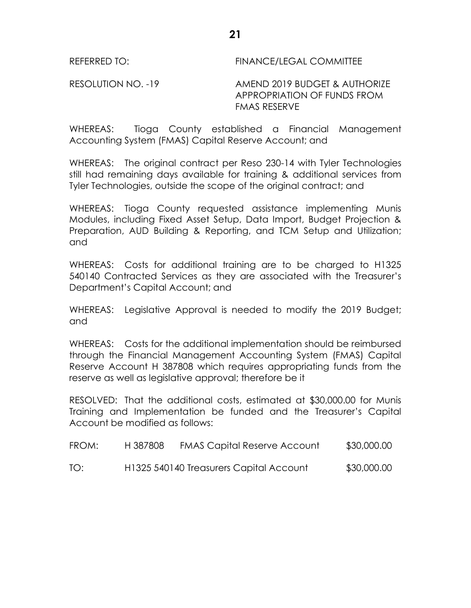REFERRED TO: FINANCE/LEGAL COMMITTEE

RESOLUTION NO. -19 AMEND 2019 BUDGET & AUTHORIZE APPROPRIATION OF FUNDS FROM FMAS RESERVE

WHEREAS: Tioga County established a Financial Management Accounting System (FMAS) Capital Reserve Account; and

WHEREAS: The original contract per Reso 230-14 with Tyler Technologies still had remaining days available for training & additional services from Tyler Technologies, outside the scope of the original contract; and

WHEREAS: Tioga County requested assistance implementing Munis Modules, including Fixed Asset Setup, Data Import, Budget Projection & Preparation, AUD Building & Reporting, and TCM Setup and Utilization; and

WHEREAS: Costs for additional training are to be charged to H1325 540140 Contracted Services as they are associated with the Treasurer's Department's Capital Account; and

WHEREAS: Legislative Approval is needed to modify the 2019 Budget; and

WHEREAS: Costs for the additional implementation should be reimbursed through the Financial Management Accounting System (FMAS) Capital Reserve Account H 387808 which requires appropriating funds from the reserve as well as legislative approval; therefore be it

RESOLVED: That the additional costs, estimated at \$30,000.00 for Munis Training and Implementation be funded and the Treasurer's Capital Account be modified as follows:

| FROM: | H 387808 | <b>FMAS Capital Reserve Account</b>     | \$30,000.00 |
|-------|----------|-----------------------------------------|-------------|
| TO:   |          | H1325 540140 Treasurers Capital Account | \$30,000.00 |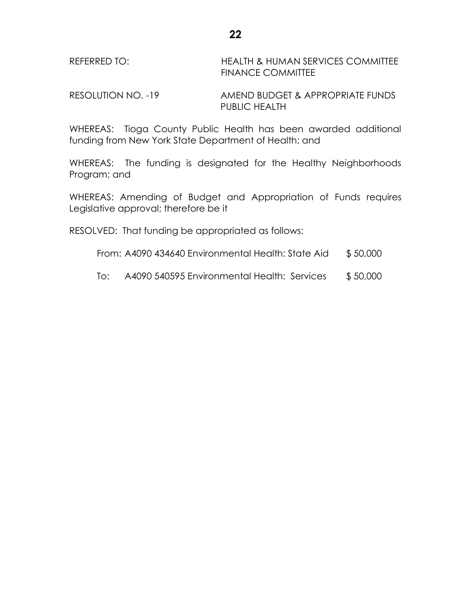| REFERRED TO: | <b>HEALTH &amp; HUMAN SERVICES COMMITTEE</b> |
|--------------|----------------------------------------------|
|              | <b>FINANCE COMMITTEE</b>                     |

RESOLUTION NO. -19 AMEND BUDGET & APPROPRIATE FUNDS PUBLIC HEALTH

WHEREAS: Tioga County Public Health has been awarded additional funding from New York State Department of Health; and

WHEREAS: The funding is designated for the Healthy Neighborhoods Program; and

WHEREAS: Amending of Budget and Appropriation of Funds requires Legislative approval; therefore be it

RESOLVED: That funding be appropriated as follows:

- From: A4090 434640 Environmental Health: State Aid \$ 50,000
- To: A4090 540595 Environmental Health: Services \$ 50,000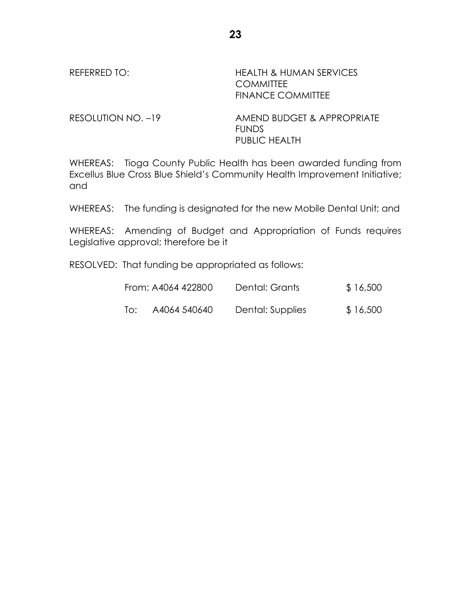REFERRED TO: HEALTH & HUMAN SERVICES **COMMITTEE** FINANCE COMMITTEE

RESOLUTION NO. -19 AMEND BUDGET & APPROPRIATE FUNDS PUBLIC HEALTH

WHEREAS: Tioga County Public Health has been awarded funding from Excellus Blue Cross Blue Shield's Community Health Improvement Initiative; and

WHEREAS: The funding is designated for the new Mobile Dental Unit; and

WHEREAS: Amending of Budget and Appropriation of Funds requires Legislative approval; therefore be it

RESOLVED: That funding be appropriated as follows:

|     | From: A4064 422800 | Dental: Grants   | \$16,500 |
|-----|--------------------|------------------|----------|
| To: | A4064 540640       | Dental: Supplies | \$16,500 |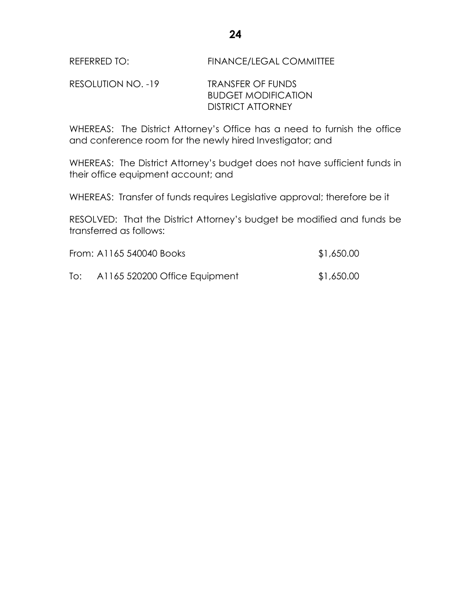RESOLUTION NO. -19 TRANSFER OF FUNDS BUDGET MODIFICATION DISTRICT ATTORNEY

WHEREAS: The District Attorney's Office has a need to furnish the office and conference room for the newly hired Investigator; and

WHEREAS: The District Attorney's budget does not have sufficient funds in their office equipment account; and

WHEREAS: Transfer of funds requires Legislative approval; therefore be it

RESOLVED: That the District Attorney's budget be modified and funds be transferred as follows:

|     | From: A1165 540040 Books      | \$1,650.00 |
|-----|-------------------------------|------------|
| To: | A1165 520200 Office Equipment | \$1,650.00 |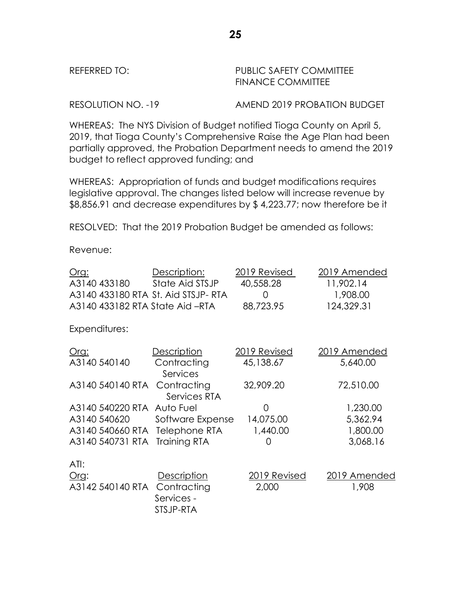| REFERRED TO: |  |
|--------------|--|
|--------------|--|

PUBLIC SAFETY COMMITTEE FINANCE COMMITTEE

RESOLUTION NO. -19 AMEND 2019 PROBATION BUDGET

WHEREAS: The NYS Division of Budget notified Tioga County on April 5, 2019, that Tioga County's Comprehensive Raise the Age Plan had been partially approved, the Probation Department needs to amend the 2019 budget to reflect approved funding; and

WHEREAS: Appropriation of funds and budget modifications requires legislative approval. The changes listed below will increase revenue by \$8,856.91 and decrease expenditures by \$ 4,223.77; now therefore be it

RESOLVED: That the 2019 Probation Budget be amended as follows:

Revenue:

| Org:                                | Description:                | 2019 Revised | 2019 Amended |
|-------------------------------------|-----------------------------|--------------|--------------|
| A3140 433180                        | State Aid STSJP             | 40,558.28    | 11,902.14    |
| A3140 433180 RTA St. Aid STSJP- RTA |                             | 0            | 1,908.00     |
| A3140 433182 RTA State Aid -RTA     |                             | 88,723.95    | 124,329.31   |
| Expenditures:                       |                             |              |              |
| <u>Org:</u>                         | Description                 | 2019 Revised | 2019 Amended |
| A3140 540140                        | Contracting<br>Services     | 45,138.67    | 5,640.00     |
| A3140 540140 RTA                    | Contracting<br>Services RTA | 32,909.20    | 72,510.00    |
| A3140 540220 RTA Auto Fuel          |                             | O            | 1,230.00     |
| A3140 540620                        | Software Expense            | 14,075.00    | 5,362.94     |
| A3140 540660 RTA Telephone RTA      |                             | 1,440.00     | 1,800.00     |
| A3140 540731 RTA Training RTA       |                             | 0            | 3,068.16     |
| ATI:                                |                             |              |              |
| Org:                                | <b>Description</b>          | 2019 Revised | 2019 Amended |
| A3142 540140 RTA                    | Contracting                 | 2,000        | 1,908        |
|                                     | Services -                  |              |              |
|                                     | STSJP-RTA                   |              |              |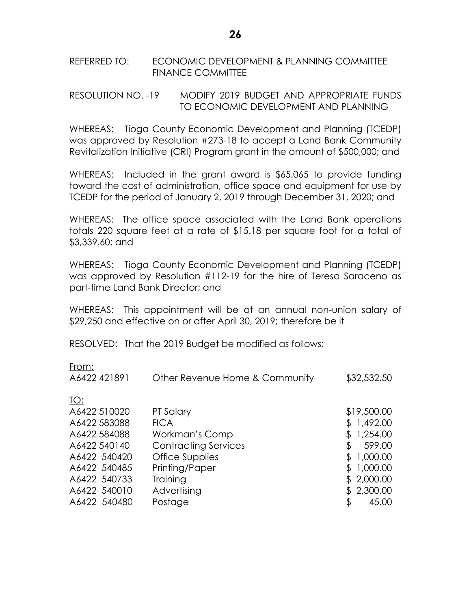# REFERRED TO: ECONOMIC DEVELOPMENT & PLANNING COMMITTEE FINANCE COMMITTEE

RESOLUTION NO. -19 MODIFY 2019 BUDGET AND APPROPRIATE FUNDS TO ECONOMIC DEVELOPMENT AND PLANNING

WHEREAS: Tioga County Economic Development and Planning (TCEDP) was approved by Resolution #273-18 to accept a Land Bank Community Revitalization Initiative (CRI) Program grant in the amount of \$500,000; and

WHEREAS: Included in the grant award is \$65,065 to provide funding toward the cost of administration, office space and equipment for use by TCEDP for the period of January 2, 2019 through December 31, 2020; and

WHEREAS: The office space associated with the Land Bank operations totals 220 square feet at a rate of \$15.18 per square foot for a total of \$3,339.60; and

WHEREAS: Tioga County Economic Development and Planning (TCEDP) was approved by Resolution #112-19 for the hire of Teresa Saraceno as part-time Land Bank Director; and

WHEREAS: This appointment will be at an annual non-union salary of \$29,250 and effective on or after April 30, 2019; therefore be it

RESOLVED: That the 2019 Budget be modified as follows:

| From:<br>A6422 421891 | Other Revenue Home & Community | \$32,532.50     |
|-----------------------|--------------------------------|-----------------|
| TO:                   |                                |                 |
| A6422 510020          | PT Salary                      | \$19,500.00     |
| A6422 583088          | <b>FICA</b>                    | 1,492.00        |
| A6422 584088          | Workman's Comp                 | 1,254.00        |
| A6422 540140          | <b>Contracting Services</b>    | 599.00<br>\$    |
| A6422 540420          | <b>Office Supplies</b>         | 1,000.00        |
| A6422 540485          | Printing/Paper                 | 1,000.00<br>\$. |
| A6422 540733          | Training                       | \$2,000.00      |
| A6422 540010          | Advertising                    | 2,300.00<br>S.  |
| A6422 540480          | Postage                        | 45.00<br>\$     |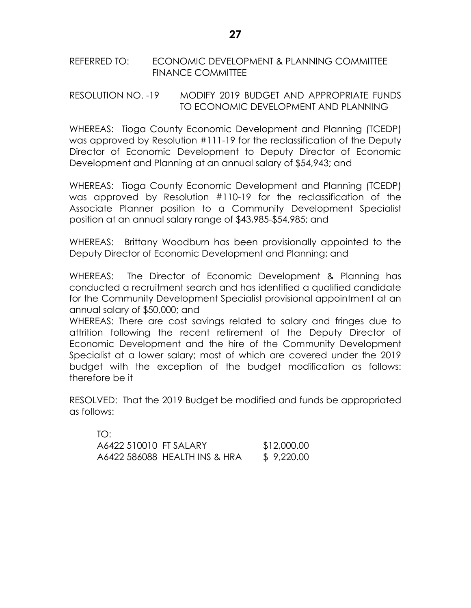# REFERRED TO: ECONOMIC DEVELOPMENT & PLANNING COMMITTEE FINANCE COMMITTEE

# RESOLUTION NO. -19 MODIFY 2019 BUDGET AND APPROPRIATE FUNDS TO ECONOMIC DEVELOPMENT AND PLANNING

WHEREAS: Tioga County Economic Development and Planning (TCEDP) was approved by Resolution #111-19 for the reclassification of the Deputy Director of Economic Development to Deputy Director of Economic Development and Planning at an annual salary of \$54,943; and

WHEREAS: Tioga County Economic Development and Planning (TCEDP) was approved by Resolution #110-19 for the reclassification of the Associate Planner position to a Community Development Specialist position at an annual salary range of \$43,985-\$54,985; and

WHEREAS: Brittany Woodburn has been provisionally appointed to the Deputy Director of Economic Development and Planning; and

WHEREAS: The Director of Economic Development & Planning has conducted a recruitment search and has identified a qualified candidate for the Community Development Specialist provisional appointment at an annual salary of \$50,000; and

WHEREAS: There are cost savings related to salary and fringes due to attrition following the recent retirement of the Deputy Director of Economic Development and the hire of the Community Development Specialist at a lower salary; most of which are covered under the 2019 budget with the exception of the budget modification as follows: therefore be it

RESOLVED: That the 2019 Budget be modified and funds be appropriated as follows:

| TO:                    |                               |             |
|------------------------|-------------------------------|-------------|
| A6422 510010 FT SALARY |                               | \$12,000.00 |
|                        | A6422 586088 HEALTH INS & HRA | \$9,220.00  |

 $\overline{a}$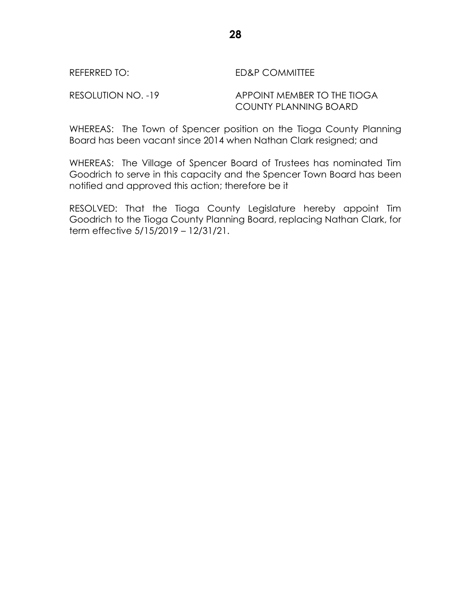## REFERRED TO: ED&P COMMITTEE

# RESOLUTION NO. -19 APPOINT MEMBER TO THE TIOGA COUNTY PLANNING BOARD

WHEREAS: The Town of Spencer position on the Tioga County Planning Board has been vacant since 2014 when Nathan Clark resigned; and

WHEREAS: The Village of Spencer Board of Trustees has nominated Tim Goodrich to serve in this capacity and the Spencer Town Board has been notified and approved this action; therefore be it

RESOLVED: That the Tioga County Legislature hereby appoint Tim Goodrich to the Tioga County Planning Board, replacing Nathan Clark, for term effective 5/15/2019 – 12/31/21.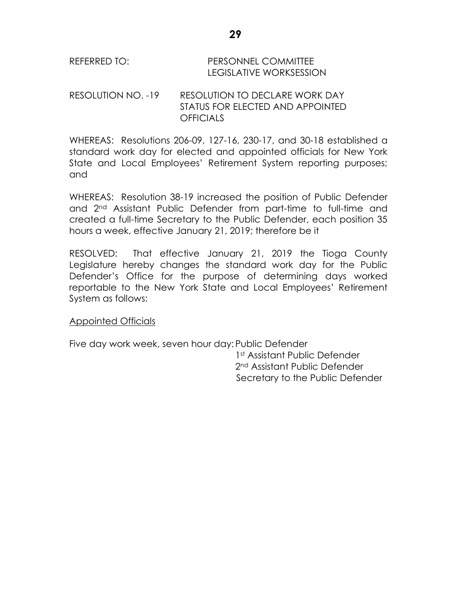| REFERRED TO: | <b>PERSONNEL COMMITTEE</b> |
|--------------|----------------------------|
|              | LEGISLATIVE WORKSESSION    |

RESOLUTION NO. -19 RESOLUTION TO DECLARE WORK DAY STATUS FOR ELECTED AND APPOINTED **OFFICIALS** 

WHEREAS: Resolutions 206-09, 127-16, 230-17, and 30-18 established a standard work day for elected and appointed officials for New York State and Local Employees' Retirement System reporting purposes; and

WHEREAS: Resolution 38-19 increased the position of Public Defender and 2nd Assistant Public Defender from part-time to full-time and created a full-time Secretary to the Public Defender, each position 35 hours a week, effective January 21, 2019; therefore be it

RESOLVED: That effective January 21, 2019 the Tioga County Legislature hereby changes the standard work day for the Public Defender's Office for the purpose of determining days worked reportable to the New York State and Local Employees' Retirement System as follows:

# Appointed Officials

Five day work week, seven hour day: Public Defender

1st Assistant Public Defender 2nd Assistant Public Defender Secretary to the Public Defender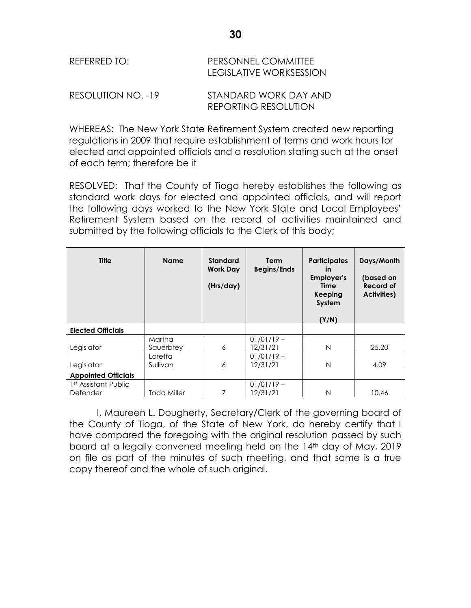| REFERRED TO:       | PERSONNEL COMMITTEE<br>LEGISLATIVE WORKSESSION |  |  |
|--------------------|------------------------------------------------|--|--|
| RESOLUTION NO. -19 | STANDARD WORK DAY AND                          |  |  |

WHEREAS: The New York State Retirement System created new reporting regulations in 2009 that require establishment of terms and work hours for elected and appointed officials and a resolution stating such at the onset of each term; therefore be it

REPORTING RESOLUTION

RESOLVED: That the County of Tioga hereby establishes the following as standard work days for elected and appointed officials, and will report the following days worked to the New York State and Local Employees' Retirement System based on the record of activities maintained and submitted by the following officials to the Clerk of this body;

| <b>Title</b>                     | <b>Name</b>        | <b>Standard</b><br><b>Work Day</b><br>(Hrs/day) | <b>Term</b><br><b>Begins/Ends</b> | <b>Participates</b><br><i>in</i><br><b>Employer's</b><br>Time<br>Keeping<br>System<br>(Y/N) | Days/Month<br>(based on<br>Record of<br><b>Activities</b> ) |
|----------------------------------|--------------------|-------------------------------------------------|-----------------------------------|---------------------------------------------------------------------------------------------|-------------------------------------------------------------|
| <b>Elected Officials</b>         |                    |                                                 |                                   |                                                                                             |                                                             |
|                                  | Martha             |                                                 | $01/01/19 -$                      |                                                                                             |                                                             |
| Legislator                       | Sauerbrey          | 6                                               | 12/31/21                          | N                                                                                           | 25.20                                                       |
|                                  | Loretta            |                                                 | $01/01/19 -$                      |                                                                                             |                                                             |
| Legislator                       | Sullivan           | 6                                               | 12/31/21                          | N                                                                                           | 4.09                                                        |
| <b>Appointed Officials</b>       |                    |                                                 |                                   |                                                                                             |                                                             |
| 1 <sup>st</sup> Assistant Public |                    |                                                 | $01/01/19 -$                      |                                                                                             |                                                             |
| Defender                         | <b>Todd Miller</b> | 7                                               | 12/31/21                          | N                                                                                           | 10.46                                                       |

I, Maureen L. Dougherty, Secretary/Clerk of the governing board of the County of Tioga, of the State of New York, do hereby certify that I have compared the foregoing with the original resolution passed by such board at a legally convened meeting held on the 14<sup>th</sup> day of May, 2019 on file as part of the minutes of such meeting, and that same is a true copy thereof and the whole of such original.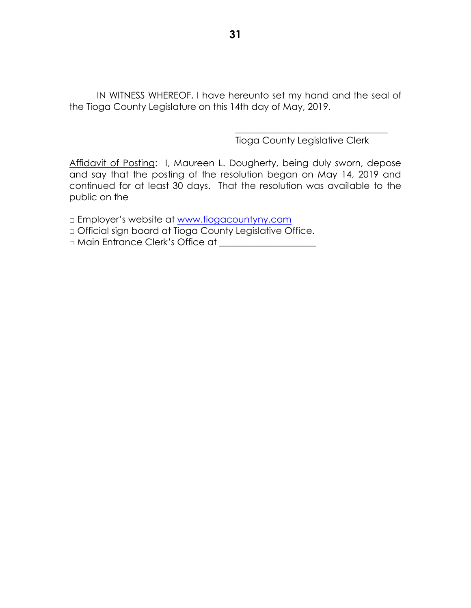IN WITNESS WHEREOF, I have hereunto set my hand and the seal of the Tioga County Legislature on this 14th day of May, 2019.

Tioga County Legislative Clerk

\_\_\_\_\_\_\_\_\_\_\_\_\_\_\_\_\_\_\_\_\_\_\_\_\_\_\_\_\_\_\_\_\_

Affidavit of Posting: I, Maureen L. Dougherty, being duly sworn, depose and say that the posting of the resolution began on May 14, 2019 and continued for at least 30 days. That the resolution was available to the public on the

□ Employer's website at [www.tiogacountyny.com](http://www.tiogacountyny.com/)

□ Official sign board at Tioga County Legislative Office.

□ Main Entrance Clerk's Office at \_\_\_\_\_\_\_\_\_\_\_\_\_\_\_\_\_\_\_\_\_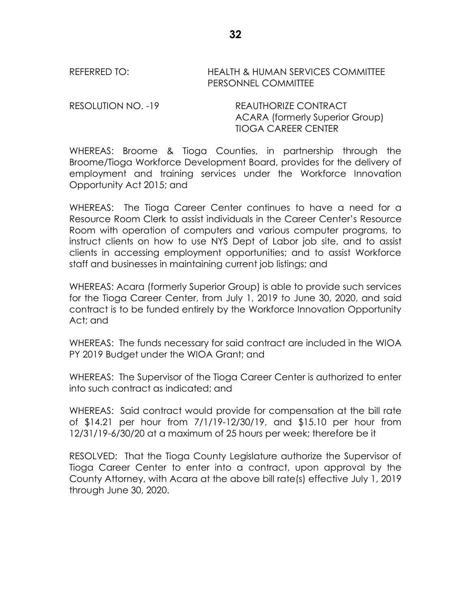REFERRED TO: HEALTH & HUMAN SERVICES COMMITTEE PERSONNEL COMMITTEE

RESOLUTION NO. -19 REAUTHORIZE CONTRACT ACARA (formerly Superior Group) TIOGA CAREER CENTER

WHEREAS: Broome & Tioga Counties, in partnership through the Broome/Tioga Workforce Development Board, provides for the delivery of employment and training services under the Workforce Innovation Opportunity Act 2015; and

WHEREAS: The Tioga Career Center continues to have a need for a Resource Room Clerk to assist individuals in the Career Center's Resource Room with operation of computers and various computer programs, to instruct clients on how to use NYS Dept of Labor job site, and to assist clients in accessing employment opportunities; and to assist Workforce staff and businesses in maintaining current job listings; and

WHEREAS: Acara (formerly Superior Group) is able to provide such services for the Tioga Career Center, from July 1, 2019 to June 30, 2020, and said contract is to be funded entirely by the Workforce Innovation Opportunity Act; and

WHEREAS: The funds necessary for said contract are included in the WIOA PY 2019 Budget under the WIOA Grant; and

WHEREAS: The Supervisor of the Tioga Career Center is authorized to enter into such contract as indicated; and

WHEREAS: Said contract would provide for compensation at the bill rate of \$14.21 per hour from 7/1/19-12/30/19, and \$15.10 per hour from 12/31/19-6/30/20 at a maximum of 25 hours per week; therefore be it

RESOLVED: That the Tioga County Legislature authorize the Supervisor of Tioga Career Center to enter into a contract, upon approval by the County Attorney, with Acara at the above bill rate(s) effective July 1, 2019 through June 30, 2020.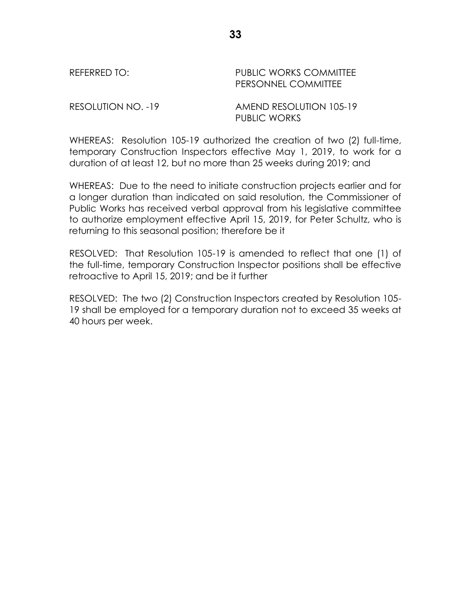| REFERRED TO: |
|--------------|
|--------------|

PUBLIC WORKS COMMITTEE PERSONNEL COMMITTEE

RESOLUTION NO. -19 AMEND RESOLUTION 105-19 PUBLIC WORKS

WHEREAS: Resolution 105-19 authorized the creation of two (2) full-time, temporary Construction Inspectors effective May 1, 2019, to work for a duration of at least 12, but no more than 25 weeks during 2019; and

WHEREAS: Due to the need to initiate construction projects earlier and for a longer duration than indicated on said resolution, the Commissioner of Public Works has received verbal approval from his legislative committee to authorize employment effective April 15, 2019, for Peter Schultz, who is returning to this seasonal position; therefore be it

RESOLVED: That Resolution 105-19 is amended to reflect that one (1) of the full-time, temporary Construction Inspector positions shall be effective retroactive to April 15, 2019; and be it further

RESOLVED: The two (2) Construction Inspectors created by Resolution 105- 19 shall be employed for a temporary duration not to exceed 35 weeks at 40 hours per week.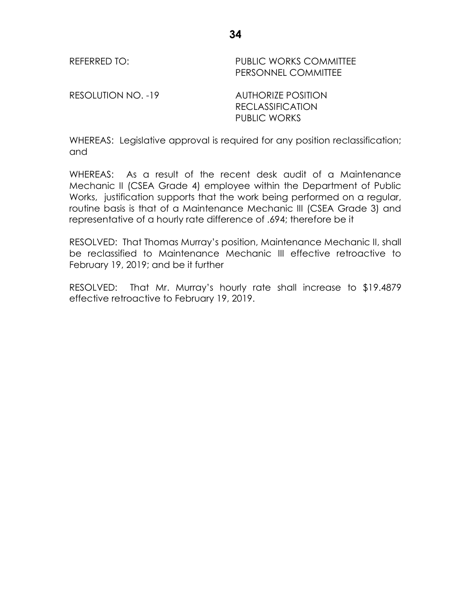REFERRED TO: The PUBLIC WORKS COMMITTEE PERSONNEL COMMITTEE

RESOLUTION NO. -19 AUTHORIZE POSITION

RECLASSIFICATION PUBLIC WORKS

WHEREAS: Legislative approval is required for any position reclassification; and

WHEREAS: As a result of the recent desk audit of a Maintenance Mechanic II (CSEA Grade 4) employee within the Department of Public Works, justification supports that the work being performed on a regular, routine basis is that of a Maintenance Mechanic III (CSEA Grade 3) and representative of a hourly rate difference of .694; therefore be it

RESOLVED: That Thomas Murray's position, Maintenance Mechanic II, shall be reclassified to Maintenance Mechanic III effective retroactive to February 19, 2019; and be it further

RESOLVED: That Mr. Murray's hourly rate shall increase to \$19.4879 effective retroactive to February 19, 2019.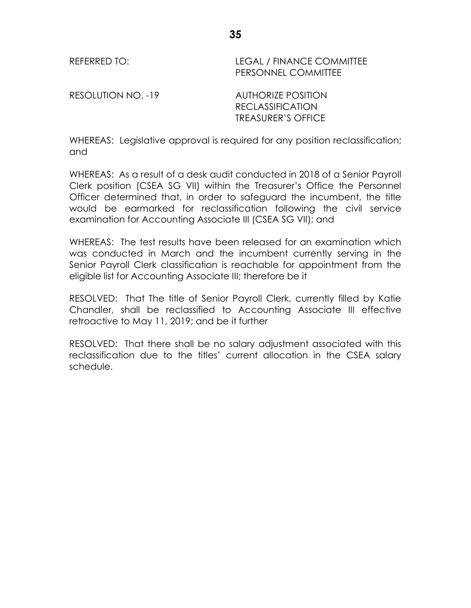REFERRED TO: LEGAL / FINANCE COMMITTEE PERSONNEL COMMITTEE

RESOLUTION NO. -19 AUTHORIZE POSITION

RECLASSIFICATION TREASURER'S OFFICE

WHEREAS: Legislative approval is required for any position reclassification; and

WHEREAS: As a result of a desk audit conducted in 2018 of a Senior Payroll Clerk position (CSEA SG VII) within the Treasurer's Office the Personnel Officer determined that, in order to safeguard the incumbent, the title would be earmarked for reclassification following the civil service examination for Accounting Associate III (CSEA SG VII); and

WHEREAS: The test results have been released for an examination which was conducted in March and the incumbent currently serving in the Senior Payroll Clerk classification is reachable for appointment from the eligible list for Accounting Associate III; therefore be it

RESOLVED: That The title of Senior Payroll Clerk, currently filled by Katie Chandler, shall be reclassified to Accounting Associate III effective retroactive to May 11, 2019; and be it further

RESOLVED: That there shall be no salary adjustment associated with this reclassification due to the titles' current allocation in the CSEA salary schedule.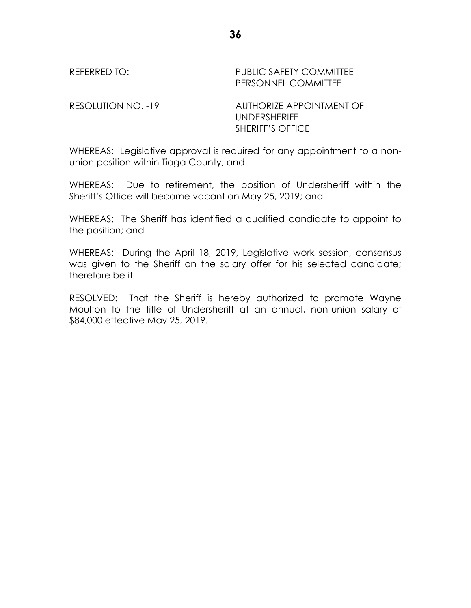REFERRED TO: PUBLIC SAFETY COMMITTEE PERSONNEL COMMITTEE

RESOLUTION NO. -19 AUTHORIZE APPOINTMENT OF UNDERSHERIFF SHERIFF'S OFFICE

WHEREAS: Legislative approval is required for any appointment to a nonunion position within Tioga County; and

WHEREAS: Due to retirement, the position of Undersheriff within the Sheriff's Office will become vacant on May 25, 2019; and

WHEREAS: The Sheriff has identified a qualified candidate to appoint to the position; and

WHEREAS: During the April 18, 2019, Legislative work session, consensus was given to the Sheriff on the salary offer for his selected candidate; therefore be it

RESOLVED: That the Sheriff is hereby authorized to promote Wayne Moulton to the title of Undersheriff at an annual, non-union salary of \$84,000 effective May 25, 2019.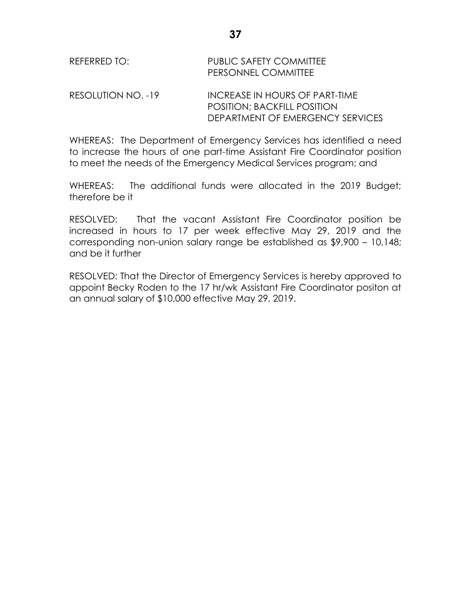POSITION; BACKFILL POSITION DEPARTMENT OF EMERGENCY SERVICES

WHEREAS: The Department of Emergency Services has identified a need to increase the hours of one part-time Assistant Fire Coordinator position to meet the needs of the Emergency Medical Services program; and

WHEREAS: The additional funds were allocated in the 2019 Budget; therefore be it

RESOLVED: That the vacant Assistant Fire Coordinator position be increased in hours to 17 per week effective May 29, 2019 and the corresponding non-union salary range be established as \$9,900 – 10,148; and be it further

RESOLVED: That the Director of Emergency Services is hereby approved to appoint Becky Roden to the 17 hr/wk Assistant Fire Coordinator positon at an annual salary of \$10,000 effective May 29, 2019.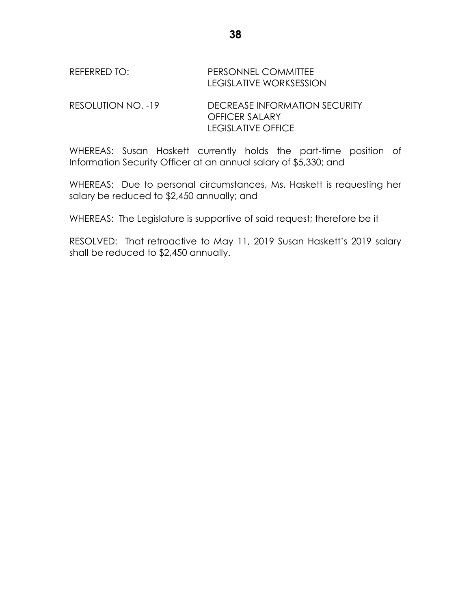# REFERRED TO: PERSONNEL COMMITTEE LEGISLATIVE WORKSESSION

RESOLUTION NO. -19 DECREASE INFORMATION SECURITY OFFICER SALARY LEGISLATIVE OFFICE

WHEREAS: Susan Haskett currently holds the part-time position of Information Security Officer at an annual salary of \$5,330; and

WHEREAS: Due to personal circumstances, Ms. Haskett is requesting her salary be reduced to \$2,450 annually; and

WHEREAS: The Legislature is supportive of said request; therefore be it

RESOLVED: That retroactive to May 11, 2019 Susan Haskett's 2019 salary shall be reduced to \$2,450 annually.